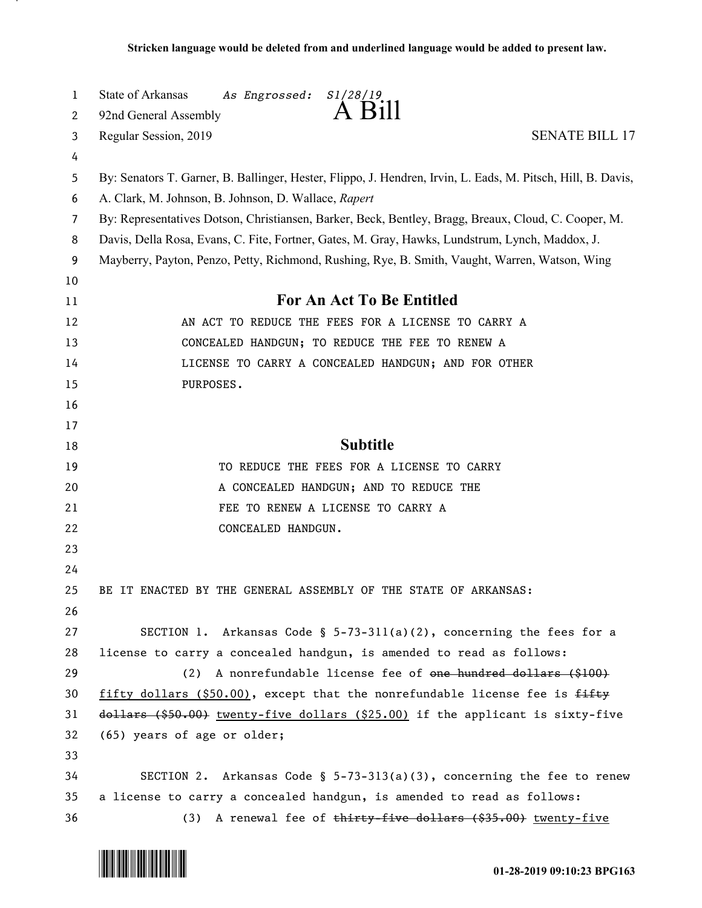| $\mathbf{1}$ | State of Arkansas<br>As Engrossed:<br>S1/28/19                                                               |  |  |
|--------------|--------------------------------------------------------------------------------------------------------------|--|--|
| 2            | A Bill<br>92nd General Assembly                                                                              |  |  |
| 3            | Regular Session, 2019<br><b>SENATE BILL 17</b>                                                               |  |  |
| 4            |                                                                                                              |  |  |
| 5            | By: Senators T. Garner, B. Ballinger, Hester, Flippo, J. Hendren, Irvin, L. Eads, M. Pitsch, Hill, B. Davis, |  |  |
| 6            | A. Clark, M. Johnson, B. Johnson, D. Wallace, Rapert                                                         |  |  |
| 7            | By: Representatives Dotson, Christiansen, Barker, Beck, Bentley, Bragg, Breaux, Cloud, C. Cooper, M.         |  |  |
| 8            | Davis, Della Rosa, Evans, C. Fite, Fortner, Gates, M. Gray, Hawks, Lundstrum, Lynch, Maddox, J.              |  |  |
| 9            | Mayberry, Payton, Penzo, Petty, Richmond, Rushing, Rye, B. Smith, Vaught, Warren, Watson, Wing               |  |  |
| 10           |                                                                                                              |  |  |
| 11           | <b>For An Act To Be Entitled</b>                                                                             |  |  |
| 12           | AN ACT TO REDUCE THE FEES FOR A LICENSE TO CARRY A                                                           |  |  |
| 13           | CONCEALED HANDGUN; TO REDUCE THE FEE TO RENEW A                                                              |  |  |
| 14           | LICENSE TO CARRY A CONCEALED HANDGUN; AND FOR OTHER                                                          |  |  |
| 15           | PURPOSES.                                                                                                    |  |  |
| 16           |                                                                                                              |  |  |
| 17           |                                                                                                              |  |  |
| 18           | <b>Subtitle</b>                                                                                              |  |  |
| 19           | TO REDUCE THE FEES FOR A LICENSE TO CARRY                                                                    |  |  |
| 20           | A CONCEALED HANDGUN; AND TO REDUCE THE                                                                       |  |  |
| 21           | FEE TO RENEW A LICENSE TO CARRY A                                                                            |  |  |
| 22           | CONCEALED HANDGUN.                                                                                           |  |  |
| 23           |                                                                                                              |  |  |
| 24           |                                                                                                              |  |  |
| 25           | BE IT ENACTED BY THE GENERAL ASSEMBLY OF THE STATE OF ARKANSAS:                                              |  |  |
| 26           |                                                                                                              |  |  |
| 27           | SECTION 1. Arkansas Code § $5-73-311(a)(2)$ , concerning the fees for a                                      |  |  |
| 28           | license to carry a concealed handgun, is amended to read as follows:                                         |  |  |
| 29           | (2) A nonrefundable license fee of one hundred dollars (\$100)                                               |  |  |
| 30           | fifty dollars (\$50.00), except that the nonrefundable license fee is fifty                                  |  |  |
| 31           | dollars (\$50.00) twenty-five dollars (\$25.00) if the applicant is sixty-five                               |  |  |
| 32           | (65) years of age or older;                                                                                  |  |  |
| 33           |                                                                                                              |  |  |
| 34           | SECTION 2. Arkansas Code § $5-73-313(a)(3)$ , concerning the fee to renew                                    |  |  |
| 35           | a license to carry a concealed handgun, is amended to read as follows:                                       |  |  |
| 36           | (3) A renewal fee of thirty-five dollars (\$35.00) twenty-five                                               |  |  |